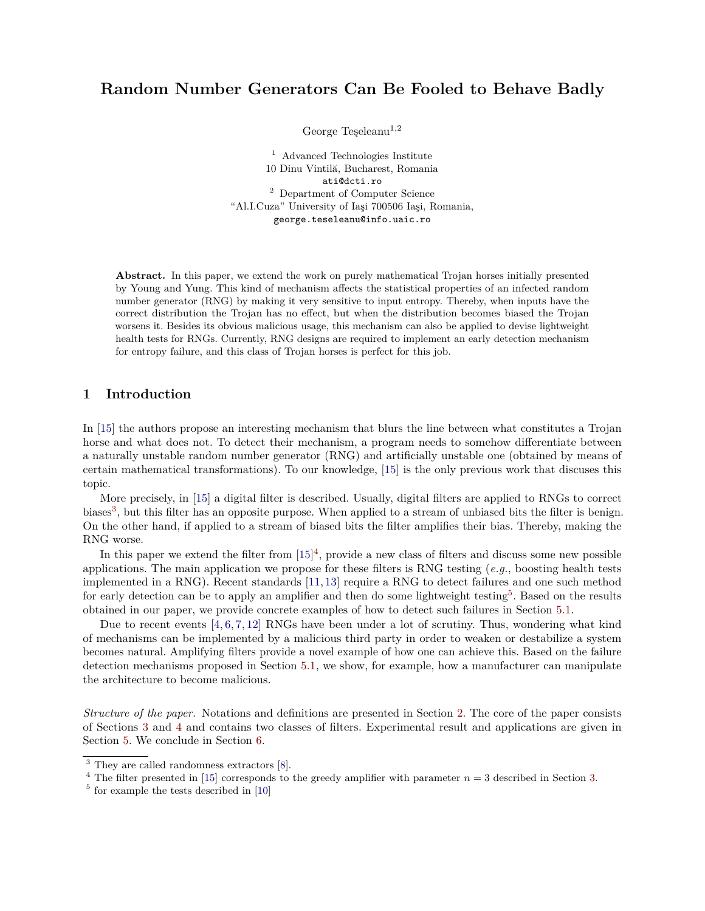# **Random Number Generators Can Be Fooled to Behave Badly**

George Teşeleanu<sup>1,2</sup>

<sup>1</sup> Advanced Technologies Institute 10 Dinu Vintilă, Bucharest, Romania ati@dcti.ro <sup>2</sup> Department of Computer Science "Al.I.Cuza" University of Iaşi 700506 Iaşi, Romania, george.teseleanu@info.uaic.ro

**Abstract.** In this paper, we extend the work on purely mathematical Trojan horses initially presented by Young and Yung. This kind of mechanism affects the statistical properties of an infected random number generator (RNG) by making it very sensitive to input entropy. Thereby, when inputs have the correct distribution the Trojan has no effect, but when the distribution becomes biased the Trojan worsens it. Besides its obvious malicious usage, this mechanism can also be applied to devise lightweight health tests for RNGs. Currently, RNG designs are required to implement an early detection mechanism for entropy failure, and this class of Trojan horses is perfect for this job.

### **1 Introduction**

In [\[15\]](#page-14-0) the authors propose an interesting mechanism that blurs the line between what constitutes a Trojan horse and what does not. To detect their mechanism, a program needs to somehow differentiate between a naturally unstable random number generator (RNG) and artificially unstable one (obtained by means of certain mathematical transformations). To our knowledge, [\[15\]](#page-14-0) is the only previous work that discuses this topic.

More precisely, in [\[15\]](#page-14-0) a digital filter is described. Usually, digital filters are applied to RNGs to correct biases<sup>[3](#page-0-0)</sup>, but this filter has an opposite purpose. When applied to a stream of unbiased bits the filter is benign. On the other hand, if applied to a stream of biased bits the filter amplifies their bias. Thereby, making the RNG worse.

In this paper we extend the filter from  $[15]^4$  $[15]^4$  $[15]^4$ , provide a new class of filters and discuss some new possible applications. The main application we propose for these filters is RNG testing (*e.g.*, boosting health tests implemented in a RNG). Recent standards [\[11,](#page-14-1) [13\]](#page-14-2) require a RNG to detect failures and one such method for early detection can be to apply an amplifier and then do some lightweight testing<sup>[5](#page-0-2)</sup>. Based on the results obtained in our paper, we provide concrete examples of how to detect such failures in Section [5.1.](#page-9-0)

Due to recent events [\[4,](#page-14-3) [6,](#page-14-4) [7,](#page-14-5) [12\]](#page-14-6) RNGs have been under a lot of scrutiny. Thus, wondering what kind of mechanisms can be implemented by a malicious third party in order to weaken or destabilize a system becomes natural. Amplifying filters provide a novel example of how one can achieve this. Based on the failure detection mechanisms proposed in Section [5.1,](#page-9-0) we show, for example, how a manufacturer can manipulate the architecture to become malicious.

*Structure of the paper.* Notations and definitions are presented in Section [2.](#page-1-0) The core of the paper consists of Sections [3](#page-1-1) and [4](#page-6-0) and contains two classes of filters. Experimental result and applications are given in Section [5.](#page-9-1) We conclude in Section [6.](#page-13-0)

<span id="page-0-0"></span><sup>&</sup>lt;sup>3</sup> They are called randomness extractors [\[8\]](#page-14-7).

<span id="page-0-1"></span><sup>&</sup>lt;sup>4</sup> The filter presented in [\[15\]](#page-14-0) corresponds to the greedy amplifier with parameter  $n = 3$  described in Section [3.](#page-1-1)

<span id="page-0-2"></span><sup>5</sup> for example the tests described in [\[10\]](#page-14-8)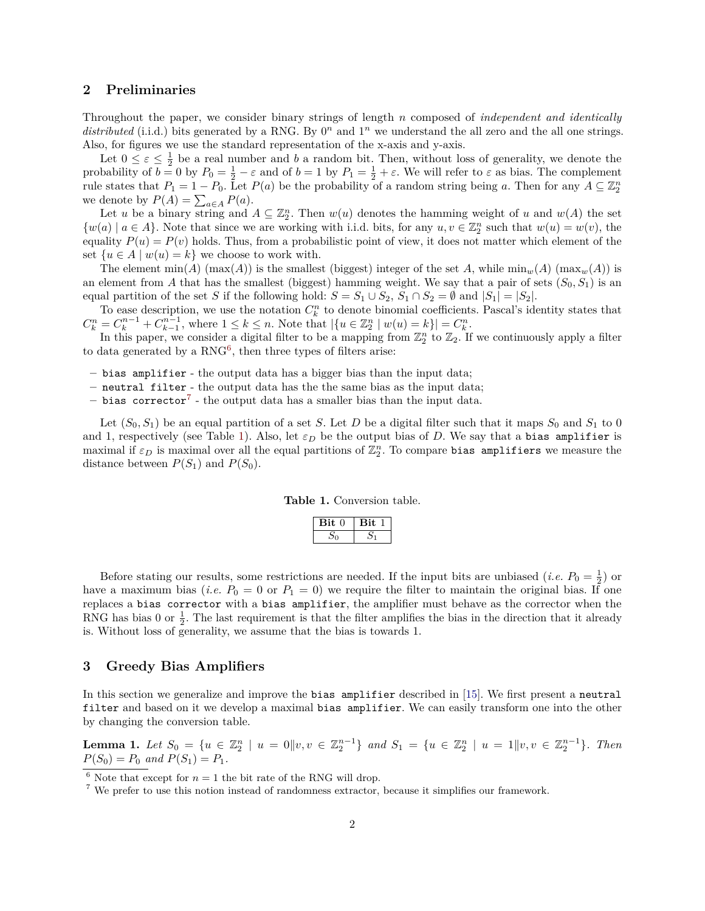### <span id="page-1-0"></span>**2 Preliminaries**

Throughout the paper, we consider binary strings of length *n* composed of *independent and identically* distributed (i.i.d.) bits generated by a RNG. By  $0<sup>n</sup>$  and  $1<sup>n</sup>$  we understand the all zero and the all one strings. Also, for figures we use the standard representation of the x-axis and y-axis.

Let  $0 \leq \varepsilon \leq \frac{1}{2}$  be a real number and *b* a random bit. Then, without loss of generality, we denote the probability of  $b = 0$  by  $P_0 = \frac{1}{2} - \varepsilon$  and of  $b = 1$  by  $P_1 = \frac{1}{2} + \varepsilon$ . We will refer to  $\varepsilon$  as bias. The complement rule states that  $P_1 = 1 - P_0$ . Let  $P(a)$  be the probability of a random string being a. Then for any  $A \subseteq \mathbb{Z}_2^n$ we denote by  $P(A) = \sum_{a \in A} P(a)$ .

Let *u* be a binary string and  $A \subseteq \mathbb{Z}_2^n$ . Then  $w(u)$  denotes the hamming weight of *u* and  $w(A)$  the set  $\{w(a) \mid a \in A\}$ . Note that since we are working with i.i.d. bits, for any  $u, v \in \mathbb{Z}_2^n$  such that  $w(u) = w(v)$ , the equality  $P(u) = P(v)$  holds. Thus, from a probabilistic point of view, it does not matter which element of the set  $\{u \in A \mid w(u) = k\}$  we choose to work with.

The element  $min(A)$   $(max(A))$  is the smallest (biggest) integer of the set *A*, while  $min_w(A)$   $(max_w(A))$  is an element from *A* that has the smallest (biggest) hamming weight. We say that a pair of sets  $(S_0, S_1)$  is an equal partition of the set *S* if the following hold:  $S = S_1 \cup S_2$ ,  $S_1 \cap S_2 = \emptyset$  and  $|S_1| = |S_2|$ .

To ease description, we use the notation  $C_k^n$  to denote binomial coefficients. Pascal's identity states that  $C_k^n = C_k^{n-1} + C_{k-1}^{n-1}$ , where  $1 \leq k \leq n$ . Note that  $|\{u \in \mathbb{Z}_2^n \mid w(u) = k\}| = C_k^n$ .

In this paper, we consider a digital filter to be a mapping from  $\mathbb{Z}_2^n$  to  $\mathbb{Z}_2$ . If we continuously apply a filter to data generated by a  $RNG^6$  $RNG^6$ , then three types of filters arise:

- **–** bias amplifier the output data has a bigger bias than the input data;
- **–** neutral filter the output data has the the same bias as the input data;
- **–** bias corrector[7](#page-1-3) the output data has a smaller bias than the input data.

Let  $(S_0, S_1)$  be an equal partition of a set *S*. Let *D* be a digital filter such that it maps  $S_0$  and  $S_1$  to 0 and 1, respectively (see Table [1\)](#page-1-4). Also, let  $\varepsilon_D$  be the output bias of *D*. We say that a bias amplifier is maximal if  $\varepsilon_D$  is maximal over all the equal partitions of  $\mathbb{Z}_2^n$ . To compare bias amplifiers we measure the distance between  $P(S_1)$  and  $P(S_0)$ .

**Table 1.** Conversion table.

| '' |  |
|----|--|
|    |  |

<span id="page-1-4"></span>Before stating our results, some restrictions are needed. If the input bits are unbiased (*i.e.*  $P_0 = \frac{1}{2}$ ) or have a maximum bias (*i.e.*  $P_0 = 0$  or  $P_1 = 0$ ) we require the filter to maintain the original bias. If one replaces a bias corrector with a bias amplifier, the amplifier must behave as the corrector when the RNG has bias 0 or  $\frac{1}{2}$ . The last requirement is that the filter amplifies the bias in the direction that it already is. Without loss of generality, we assume that the bias is towards 1.

### <span id="page-1-1"></span>**3 Greedy Bias Amplifiers**

In this section we generalize and improve the bias amplifier described in [\[15\]](#page-14-0). We first present a neutral filter and based on it we develop a maximal bias amplifier. We can easily transform one into the other by changing the conversion table.

<span id="page-1-5"></span>**Lemma 1.** Let  $S_0 = \{u \in \mathbb{Z}_2^n \mid u = 0 | v, v \in \mathbb{Z}_2^{n-1}\}$  and  $S_1 = \{u \in \mathbb{Z}_2^n \mid u = 1 | v, v \in \mathbb{Z}_2^{n-1}\}$ . Then  $P(S_0) = P_0$  *and*  $P(S_1) = P_1$ *.* 

<span id="page-1-2"></span> $^6$  Note that except for  $n=1$  the bit rate of the RNG will drop.

<span id="page-1-3"></span><sup>7</sup> We prefer to use this notion instead of randomness extractor, because it simplifies our framework.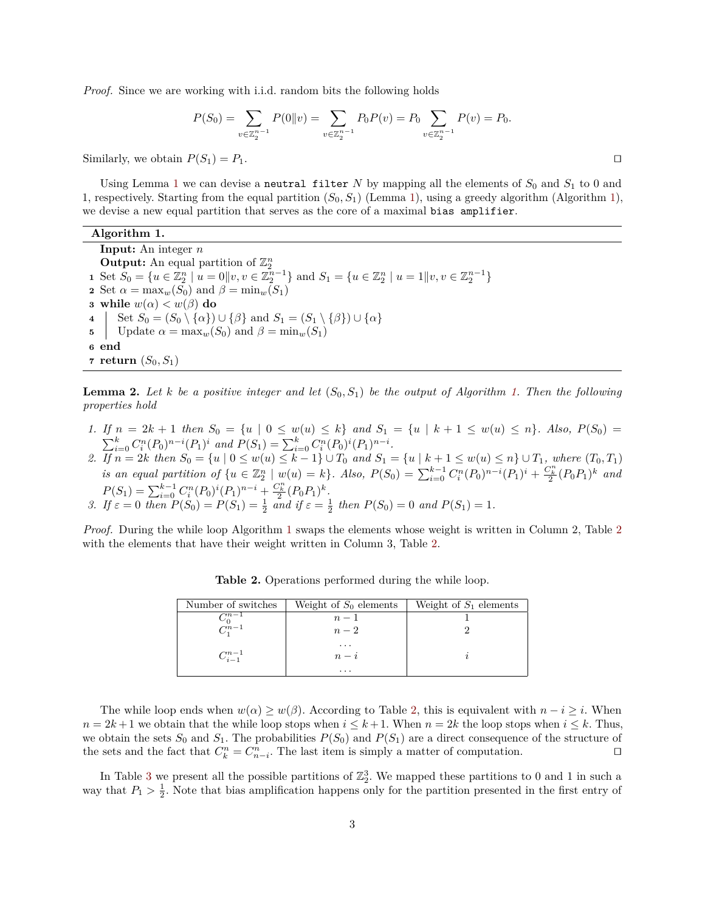*Proof.* Since we are working with i.i.d. random bits the following holds

$$
P(S_0) = \sum_{v \in \mathbb{Z}_2^{n-1}} P(0||v) = \sum_{v \in \mathbb{Z}_2^{n-1}} P_0 P(v) = P_0 \sum_{v \in \mathbb{Z}_2^{n-1}} P(v) = P_0.
$$

Similarly, we obtain  $P(S_1) = P_1$ .

Using Lemma [1](#page-1-5) we can devise a neutral filter  $N$  by mapping all the elements of  $S_0$  and  $S_1$  to 0 and 1, respectively. Starting from the equal partition (*S*0*, S*1) (Lemma [1\)](#page-1-5), using a greedy algorithm (Algorithm [1\)](#page-2-0), we devise a new equal partition that serves as the core of a maximal bias amplifier.

#### **Algorithm 1.**

**Input:** An integer *n* **Output:** An equal partition of  $\mathbb{Z}_2^n$ **1** Set  $S_0 = \{u \in \mathbb{Z}_2^n \mid u = 0 \mid v, v \in \mathbb{Z}_2^{n-1}\}\$  and  $S_1 = \{u \in \mathbb{Z}_2^n \mid u = 1 \mid v, v \in \mathbb{Z}_2^{n-1}\}\$ **2** Set  $\alpha = \max_w(S_0)$  and  $\beta = \min_w(S_1)$ **3 while**  $w(\alpha) < w(\beta)$  **do 4**  $\Big\{ \text{Set } S_0 = (S_0 \setminus \{ \alpha \}) \cup \{ \beta \} \text{ and } S_1 = (S_1 \setminus \{ \beta \}) \cup \{ \alpha \} \Big\}$ **5** Update  $\alpha = \max_w(S_0)$  and  $\beta = \min_w(S_1)$ **<sup>6</sup> end**  $\tau$  **return**  $(S_0, S_1)$ 

<span id="page-2-2"></span><span id="page-2-0"></span>**Lemma 2.** Let *k* be a positive integer and let  $(S_0, S_1)$  be the output of Algorithm [1.](#page-2-0) Then the following *properties hold*

- 1. If  $n = 2k + 1$  then  $S_0 = \{u \mid 0 \le w(u) \le k\}$  and  $S_1 = \{u \mid k+1 \le w(u) \le n\}$ . Also,  $P(S_0) =$  $\sum_{i=0}^{k} C_i^n (P_0)^{n-i} (P_1)^i$  and  $P(S_1) = \sum_{i=0}^{k} C_i^n (P_0)^i (P_1)^{n-i}$ .
- 2. If  $n = 2k$  then  $S_0 = \{u \mid 0 \le w(u) \le k 1\} \cup T_0$  and  $S_1 = \{u \mid k + 1 \le w(u) \le n\} \cup T_1$ , where  $(T_0, T_1)$ is an equal partition of  $\{u \in \mathbb{Z}_2^n \mid w(u) = k\}$ . Also,  $P(S_0) = \sum_{i=0}^{k-1} C_i^n (P_0)^{n-i} (P_1)^i + \frac{C_k^n}{2} (P_0 P_1)^k$  and  $P(S_1) = \sum_{i=0}^{k-1} C_i^n (P_0)^i (P_1)^{n-i} + \frac{C_k^n}{2} (P_0 P_1)^k$ . *3. If*  $\varepsilon = 0$  *then*  $P(S_0) = P(S_1) = \frac{1}{2}$  *and if*  $\varepsilon = \frac{1}{2}$  *then*  $P(S_0) = 0$  *and*  $P(S_1) = 1$ *.*

<span id="page-2-1"></span>*Proof.* During the while loop Algorithm [1](#page-2-0) swaps the elements whose weight is written in Column 2, Table [2](#page-2-1) with the elements that have their weight written in Column 3, Table [2.](#page-2-1)

| Number of switches | Weight of $S_0$ elements | Weight of $S_1$ elements |
|--------------------|--------------------------|--------------------------|
| $\bigcap_{n=1}$    | $n-1$                    |                          |
| $C_0^{n-1}$        | $n-2$                    |                          |
|                    | .                        |                          |
| $C_{i-1}^{n-1}$    | $n-i$                    |                          |
|                    | $\cdots$                 |                          |

**Table 2.** Operations performed during the while loop.

The while loop ends when  $w(\alpha) \geq w(\beta)$ . According to Table [2,](#page-2-1) this is equivalent with  $n - i \geq i$ . When  $n = 2k + 1$  we obtain that the while loop stops when  $i \leq k + 1$ . When  $n = 2k$  the loop stops when  $i \leq k$ . Thus, we obtain the sets  $S_0$  and  $S_1$ . The probabilities  $P(S_0)$  and  $P(S_1)$  are a direct consequence of the structure of the sets and the fact that  $C_k^n = C_{n-i}^n$ . The last item is simply a matter of computation.  $\square$ 

In Table [3](#page-3-0) we present all the possible partitions of  $\mathbb{Z}_2^3$ . We mapped these partitions to 0 and 1 in such a way that  $P_1 > \frac{1}{2}$ . Note that bias amplification happens only for the partition presented in the first entry of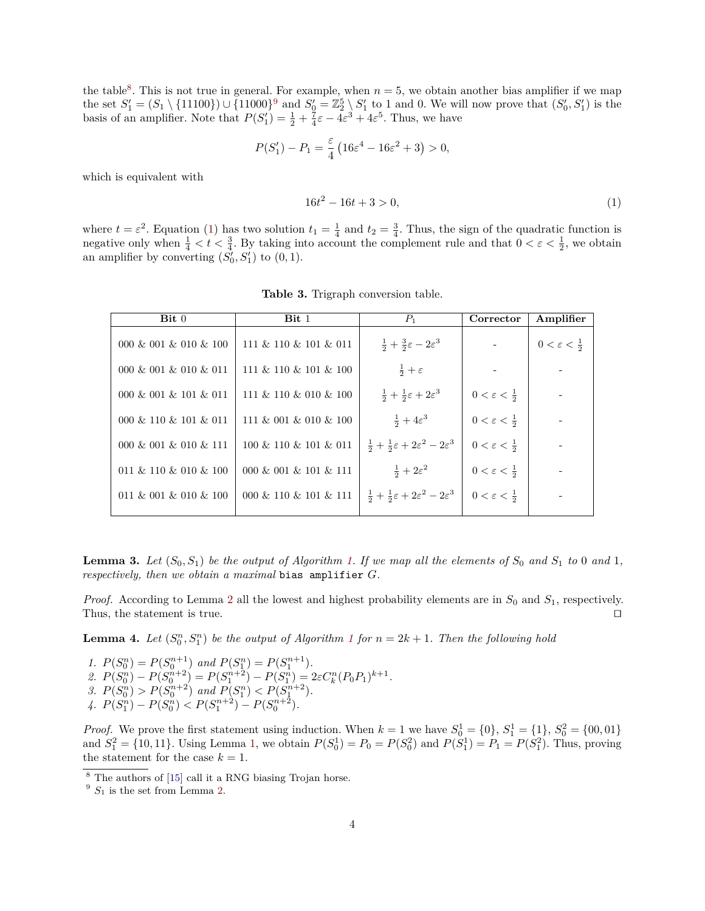the table<sup>[8](#page-3-1)</sup>. This is not true in general. For example, when  $n = 5$ , we obtain another bias amplifier if we map the set  $S_1' = (S_1 \setminus \{11100\}) \cup \{11000\}^9$  $S_1' = (S_1 \setminus \{11100\}) \cup \{11000\}^9$  and  $S_0' = \mathbb{Z}_2^5 \setminus S_1'$  to 1 and 0. We will now prove that  $(S_0', S_1')$  is the basis of an amplifier. Note that  $P(S'_1) = \frac{1}{2} + \frac{7}{4}\varepsilon - 4\varepsilon^3 + 4\varepsilon^5$ . Thus, we have

$$
P(S'_1) - P_1 = \frac{\varepsilon}{4} \left( 16\varepsilon^4 - 16\varepsilon^2 + 3 \right) > 0,
$$

which is equivalent with

<span id="page-3-3"></span>
$$
16t^2 - 16t + 3 > 0,\t\t(1)
$$

where  $t = \varepsilon^2$ . Equation [\(1\)](#page-3-3) has two solution  $t_1 = \frac{1}{4}$  and  $t_2 = \frac{3}{4}$ . Thus, the sign of the quadratic function is negative only when  $\frac{1}{4} < t < \frac{3}{4}$ . By taking into account the complement rule and that  $0 < \varepsilon < \frac{1}{2}$ , we obtain an amplifier by converting  $(S_0^j, S_1')$  to  $(0, 1)$ .

<span id="page-3-0"></span>

| $\mathbf{Bit} 0$      | Bit 1                      | $P_1$                                                                    | Corrector                       | Amplifier                       |
|-----------------------|----------------------------|--------------------------------------------------------------------------|---------------------------------|---------------------------------|
| 000 & 001 & 010 & 100 | 111 & 110 & 101 & 011      | $\frac{1}{2} + \frac{3}{2}\varepsilon - 2\varepsilon^3$                  |                                 | $0 < \varepsilon < \frac{1}{2}$ |
| 000 & 001 & 010 & 011 | $111 \& 110 \& 101 \& 100$ | $rac{1}{2} + \varepsilon$                                                |                                 |                                 |
| 000 & 001 & 101 & 011 | $111 \& 110 \& 010 \& 100$ | $\frac{1}{2} + \frac{1}{2}\varepsilon + 2\varepsilon^3$                  | $0 < \varepsilon < \frac{1}{2}$ |                                 |
| 000 & 110 & 101 & 011 | 111 & 001 & 010 & 100      | $\frac{1}{2}+4\varepsilon^3$                                             | $0 < \varepsilon < \frac{1}{2}$ |                                 |
| 000 & 001 & 010 & 111 | 100 & 110 & 101 & 011      | $\frac{1}{2} + \frac{1}{2}\varepsilon + 2\varepsilon^2 - 2\varepsilon^3$ | $0 < \varepsilon < \frac{1}{2}$ |                                 |
| 011 & 110 & 010 & 100 | 000 & 001 & 101 & 111      | $\frac{1}{2}+2\varepsilon^2$                                             | $0 < \varepsilon < \frac{1}{2}$ |                                 |
| 011 & 001 & 010 & 100 | 000 & 110 & 101 & 111      | $\frac{1}{2} + \frac{1}{2}\varepsilon + 2\varepsilon^2 - 2\varepsilon^3$ | $0 < \varepsilon < \frac{1}{2}$ |                                 |
|                       |                            |                                                                          |                                 |                                 |

**Table 3.** Trigraph conversion table.

**Lemma 3.** Let  $(S_0, S_1)$  be the output of Algorithm [1.](#page-2-0) If we map all the elements of  $S_0$  and  $S_1$  to 0 and 1, *respectively, then we obtain a maximal* bias amplifier *G.*

*Proof.* According to Lemma [2](#page-2-2) all the lowest and highest probability elements are in *S*<sup>0</sup> and *S*1, respectively. Thus, the statement is true.  $\Box$ 

<span id="page-3-4"></span>**Lemma 4.** Let  $(S_0^n, S_1^n)$  $(S_0^n, S_1^n)$  $(S_0^n, S_1^n)$  be the output of Algorithm 1 for  $n = 2k + 1$ . Then the following hold

*1.*  $P(S_0^n) = P(S_0^{n+1})$  and  $P(S_1^n) = P(S_1^{n+1})$ *.* 2.  $P(S_0^n) - P(S_0^{n+2}) = P(S_1^{n+2}) - P(S_1^n) = 2\varepsilon C_k^n (P_0 P_1)^{k+1}$ . 3.  $P(S_0^n) > P(S_0^{n+2})$  and  $P(S_1^n) < P(S_1^{n+2})$ .  $4. P(S_1^n) - P(S_0^n) < P(S_1^{n+2}) - P(S_0^{n+2}).$ 

*Proof.* We prove the first statement using induction. When  $k = 1$  we have  $S_0^1 = \{0\}, S_1^1 = \{1\}, S_0^2 = \{00, 01\}$ and  $S_1^2 = \{10, 11\}$ . Using Lemma [1,](#page-1-5) we obtain  $P(S_0^1) = P_0 = P(S_0^2)$  and  $P(S_1^1) = P_1 = P(S_1^2)$ . Thus, proving the statement for the case  $k = 1$ .

<span id="page-3-1"></span> $^8$  The authors of  $[15]$  call it a RNG biasing Trojan horse.

<span id="page-3-2"></span> $9 S_1$  is the set from Lemma [2.](#page-2-2)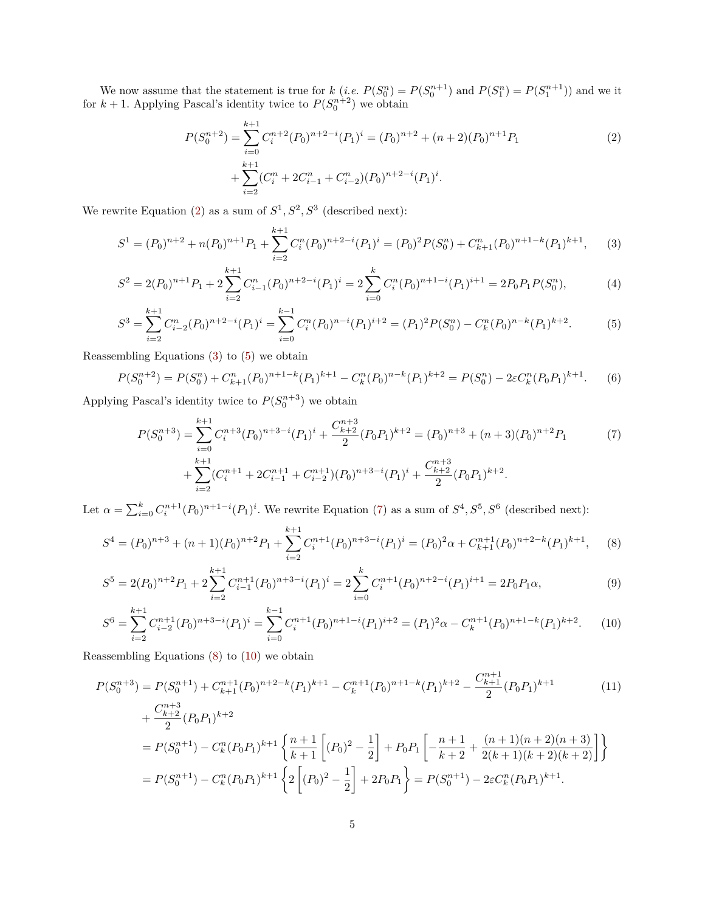We now assume that the statement is true for  $k$  (*i.e.*  $P(S_0^n) = P(S_0^{n+1})$  and  $P(S_1^n) = P(S_1^{n+1})$ ) and we it for  $k + 1$ . Applying Pascal's identity twice to  $P(S_0^{n+2})$  we obtain

<span id="page-4-2"></span><span id="page-4-1"></span><span id="page-4-0"></span>
$$
P(S_0^{n+2}) = \sum_{i=0}^{k+1} C_i^{n+2} (P_0)^{n+2-i} (P_1)^i = (P_0)^{n+2} + (n+2)(P_0)^{n+1} P_1
$$
  
+ 
$$
\sum_{i=2}^{k+1} (C_i^n + 2C_{i-1}^n + C_{i-2}^n)(P_0)^{n+2-i} (P_1)^i.
$$
 (2)

We rewrite Equation [\(2\)](#page-4-0) as a sum of  $S^1, S^2, S^3$  (described next):

$$
S^{1} = (P_{0})^{n+2} + n(P_{0})^{n+1}P_{1} + \sum_{i=2}^{k+1} C_{i}^{n}(P_{0})^{n+2-i}(P_{1})^{i} = (P_{0})^{2}P(S_{0}^{n}) + C_{k+1}^{n}(P_{0})^{n+1-k}(P_{1})^{k+1}, \qquad (3)
$$

$$
S^{2} = 2(P_{0})^{n+1}P_{1} + 2\sum_{i=2}^{k+1}C_{i-1}^{n}(P_{0})^{n+2-i}(P_{1})^{i} = 2\sum_{i=0}^{k}C_{i}^{n}(P_{0})^{n+1-i}(P_{1})^{i+1} = 2P_{0}P_{1}P(S_{0}^{n}),
$$
\n(4)

$$
S^3 = \sum_{i=2}^{k+1} C_{i-2}^n (P_0)^{n+2-i} (P_1)^i = \sum_{i=0}^{k-1} C_i^n (P_0)^{n-i} (P_1)^{i+2} = (P_1)^2 P(S_0^n) - C_k^n (P_0)^{n-k} (P_1)^{k+2}.
$$
 (5)

Reassembling Equations [\(3\)](#page-4-1) to [\(5\)](#page-4-2) we obtain

$$
P(S_0^{n+2}) = P(S_0^n) + C_{k+1}^n (P_0)^{n+1-k} (P_1)^{k+1} - C_k^n (P_0)^{n-k} (P_1)^{k+2} = P(S_0^n) - 2\varepsilon C_k^n (P_0 P_1)^{k+1}.
$$
 (6)

Applying Pascal's identity twice to  $P(S_0^{n+3})$  we obtain

<span id="page-4-6"></span><span id="page-4-4"></span><span id="page-4-3"></span>
$$
P(S_0^{n+3}) = \sum_{i=0}^{k+1} C_i^{n+3} (P_0)^{n+3-i} (P_1)^i + \frac{C_{k+2}^{n+3}}{2} (P_0 P_1)^{k+2} = (P_0)^{n+3} + (n+3)(P_0)^{n+2} P_1
$$
  
+ 
$$
\sum_{i=2}^{k+1} (C_i^{n+1} + 2C_{i-1}^{n+1} + C_{i-2}^{n+1})(P_0)^{n+3-i} (P_1)^i + \frac{C_{k+2}^{n+3}}{2} (P_0 P_1)^{k+2}.
$$
 (7)

Let  $\alpha = \sum_{i=0}^{k} C_i^{n+1} (P_0)^{n+1-i} (P_1)^i$ . We rewrite Equation [\(7\)](#page-4-3) as a sum of  $S^4, S^5, S^6$  (described next):

$$
S^{4} = (P_{0})^{n+3} + (n+1)(P_{0})^{n+2}P_{1} + \sum_{i=2}^{k+1} C_{i}^{n+1}(P_{0})^{n+3-i}(P_{1})^{i} = (P_{0})^{2}\alpha + C_{k+1}^{n+1}(P_{0})^{n+2-k}(P_{1})^{k+1},
$$
 (8)

$$
S^5 = 2(P_0)^{n+2}P_1 + 2\sum_{i=2}^{k+1} C_{i-1}^{n+1}(P_0)^{n+3-i}(P_1)^i = 2\sum_{i=0}^k C_i^{n+1}(P_0)^{n+2-i}(P_1)^{i+1} = 2P_0P_1\alpha,
$$
\n(9)

<span id="page-4-7"></span><span id="page-4-5"></span>
$$
S^6 = \sum_{i=2}^{k+1} C_{i-2}^{n+1}(P_0)^{n+3-i}(P_1)^i = \sum_{i=0}^{k-1} C_i^{n+1}(P_0)^{n+1-i}(P_1)^{i+2} = (P_1)^2 \alpha - C_k^{n+1}(P_0)^{n+1-k}(P_1)^{k+2}.
$$
 (10)

Reassembling Equations [\(8\)](#page-4-4) to [\(10\)](#page-4-5) we obtain

$$
P(S_0^{n+3}) = P(S_0^{n+1}) + C_{k+1}^{n+1}(P_0)^{n+2-k}(P_1)^{k+1} - C_k^{n+1}(P_0)^{n+1-k}(P_1)^{k+2} - \frac{C_{k+1}^{n+1}}{2}(P_0P_1)^{k+1}
$$
(11)  
+ 
$$
\frac{C_{k+2}^{n+3}}{2}(P_0P_1)^{k+2}
$$
  
= 
$$
P(S_0^{n+1}) - C_k^n(P_0P_1)^{k+1} \left\{ \frac{n+1}{k+1} \left[ (P_0)^2 - \frac{1}{2} \right] + P_0P_1 \left[ -\frac{n+1}{k+2} + \frac{(n+1)(n+2)(n+3)}{2(k+1)(k+2)(k+2)} \right] \right\}
$$
  
= 
$$
P(S_0^{n+1}) - C_k^n(P_0P_1)^{k+1} \left\{ 2 \left[ (P_0)^2 - \frac{1}{2} \right] + 2P_0P_1 \right\} = P(S_0^{n+1}) - 2\varepsilon C_k^n(P_0P_1)^{k+1}.
$$
 (11)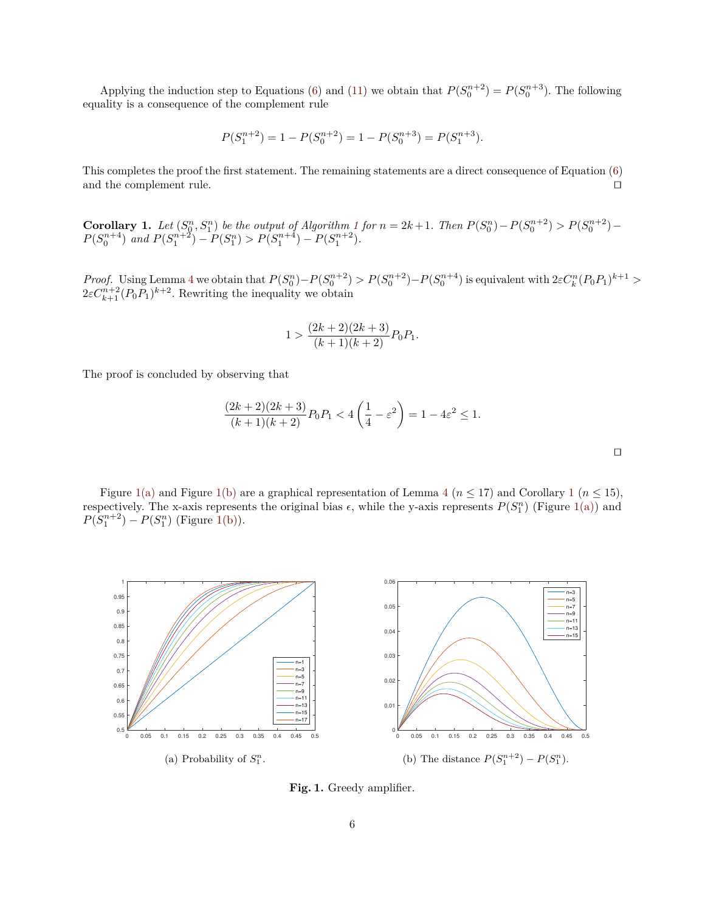Applying the induction step to Equations [\(6\)](#page-4-6) and [\(11\)](#page-4-7) we obtain that  $P(S_0^{n+2}) = P(S_0^{n+3})$ . The following equality is a consequence of the complement rule

$$
P(S_1^{n+2}) = 1 - P(S_0^{n+2}) = 1 - P(S_0^{n+3}) = P(S_1^{n+3}).
$$

This completes the proof the first statement. The remaining statements are a direct consequence of Equation [\(6\)](#page-4-6) and the complement rule.  $\Box$ 

<span id="page-5-2"></span>**Corollary [1](#page-2-0).** Let  $(S_0^n, S_1^n)$  be the output of Algorithm 1 for  $n = 2k + 1$ . Then  $P(S_0^n) - P(S_0^{n+2}) > P(S_0^{n+2}) - P(S_0^n)$  $P(S_0^{n+4})$  *and*  $P(S_1^{n+2}) - P(S_1^n) > P(S_1^{n+4}) - P(S_1^{n+2})$ *.* 

*Proof.* Using Lemma [4](#page-3-4) we obtain that  $P(S_0^n) - P(S_0^{n+2}) > P(S_0^{n+2}) - P(S_0^{n+4})$  is equivalent with  $2\varepsilon C_k^n (P_0 P_1)^{k+1} >$  $2\varepsilon C_{k+1}^{n+2} (P_0 P_1)^{k+2}$ . Rewriting the inequality we obtain

$$
1 > \frac{(2k+2)(2k+3)}{(k+1)(k+2)}P_0P_1.
$$

The proof is concluded by observing that

$$
\frac{(2k+2)(2k+3)}{(k+1)(k+2)}P_0P_1 < 4\left(\frac{1}{4} - \varepsilon^2\right) = 1 - 4\varepsilon^2 \le 1.
$$

 $\Box$ 

Figure [1\(a\)](#page-5-0) and Figure [1\(b\)](#page-5-1) are a graphical representation of Lemma [4](#page-3-4) ( $n \leq 17$  $n \leq 17$  $n \leq 17$ ) and Corollary 1 ( $n \leq 15$ ), respectively. The x-axis represents the original bias  $\epsilon$ , while the y-axis represents  $P(S_1^n)$  (Figure [1\(a\)\)](#page-5-0) and  $P(S_1^{n+2}) - P(S_1^n)$  (Figure [1\(b\)\)](#page-5-1).

<span id="page-5-0"></span>

<span id="page-5-1"></span>**Fig. 1.** Greedy amplifier.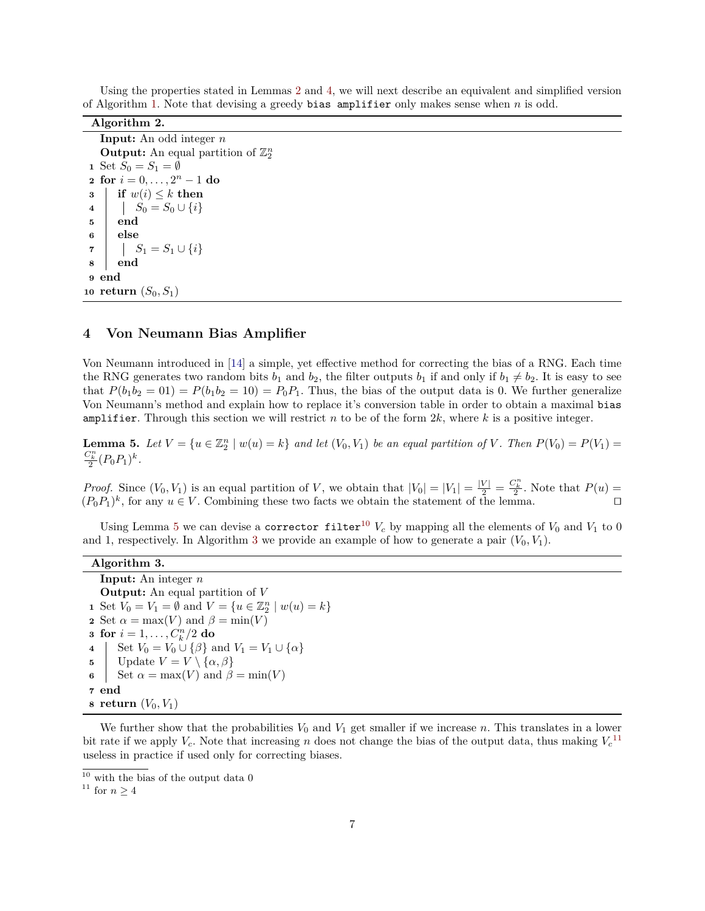| Using the properties stated in Lemmas 2 and 4, we will next describe an equivalent and simplified version |  |  |  |  |  |  |  |
|-----------------------------------------------------------------------------------------------------------|--|--|--|--|--|--|--|
| of Algorithm 1. Note that devising a greedy bias amplifier only makes sense when $n$ is odd.              |  |  |  |  |  |  |  |

| Algorithm 2.                                          |
|-------------------------------------------------------|
| <b>Input:</b> An odd integer $n$                      |
| <b>Output:</b> An equal partition of $\mathbb{Z}_2^n$ |
| 1 Set $S_0 = S_1 = \emptyset$                         |
| <b>2</b> for $i = 0, , 2n - 1$ do                     |
| if $w(i) \leq k$ then<br>3                            |
| $S_0 = S_0 \cup \{i\}$<br>$\overline{\mathbf{4}}$     |
| end<br>5                                              |
| else<br>6                                             |
| 7     $S_1 = S_1 \cup \{i\}$                          |
| 8<br>end                                              |
| end<br>9                                              |
| 10 return $(S_0, S_1)$                                |

#### <span id="page-6-0"></span>**4 Von Neumann Bias Amplifier**

Von Neumann introduced in [\[14\]](#page-14-9) a simple, yet effective method for correcting the bias of a RNG. Each time the RNG generates two random bits  $b_1$  and  $b_2$ , the filter outputs  $b_1$  if and only if  $b_1 \neq b_2$ . It is easy to see that  $P(b_1b_2 = 01) = P(b_1b_2 = 10) = P_0P_1$ . Thus, the bias of the output data is 0. We further generalize Von Neumann's method and explain how to replace it's conversion table in order to obtain a maximal bias amplifier. Through this section we will restrict *n* to be of the form 2*k*, where *k* is a positive integer.

<span id="page-6-1"></span>**Lemma 5.** Let  $V = \{u \in \mathbb{Z}_2^n \mid w(u) = k\}$  and let  $(V_0, V_1)$  be an equal partition of V. Then  $P(V_0) = P(V_1)$  $\frac{C_k^n}{2}(P_0P_1)^k$ .

*Proof.* Since  $(V_0, V_1)$  is an equal partition of *V*, we obtain that  $|V_0| = |V_1| = \frac{|V|}{2} = \frac{C_k^n}{2}$ . Note that  $P(u)$  $(P_0P_1)^k$ , for any  $u \in V$ . Combining these two facts we obtain the statement of the lemma.

Using Lemma [5](#page-6-1) we can devise a corrector filter<sup>[10](#page-6-2)</sup>  $V_c$  by mapping all the elements of  $V_0$  and  $V_1$  to 0 and 1, respectively. In Algorithm [3](#page-6-3) we provide an example of how to generate a pair  $(V_0, V_1)$ .

| Algorithm 3.                                                                   |
|--------------------------------------------------------------------------------|
| <b>Input:</b> An integer $n$                                                   |
| <b>Output:</b> An equal partition of $V$                                       |
| 1 Set $V_0 = V_1 = \emptyset$ and $V = \{u \in \mathbb{Z}_2^n \mid w(u) = k\}$ |
| 2 Set $\alpha = \max(V)$ and $\beta = \min(V)$                                 |
| <b>3</b> for $i = 1, , C_{k}^{n}/2$ do                                         |
| 4   Set $V_0 = V_0 \cup {\{\beta\}}$ and $V_1 = V_1 \cup {\{\alpha\}}$         |
| 5   Update $V = V \setminus {\alpha, \beta}$                                   |
| 6 Set $\alpha = \max(V)$ and $\beta = \min(V)$                                 |
| 7 end                                                                          |
| s return $(V_0, V_1)$                                                          |

<span id="page-6-3"></span>We further show that the probabilities  $V_0$  and  $V_1$  get smaller if we increase *n*. This translates in a lower bit rate if we apply  $V_c$ . Note that increasing *n* does not change the bias of the output data, thus making  $V_c^{11}$  $V_c^{11}$  $V_c^{11}$ useless in practice if used only for correcting biases.

<span id="page-6-5"></span><span id="page-6-2"></span> $10\,$  with the bias of the output data  $0\,$ 

<span id="page-6-4"></span> $^{11}$  for  $n\geq 4$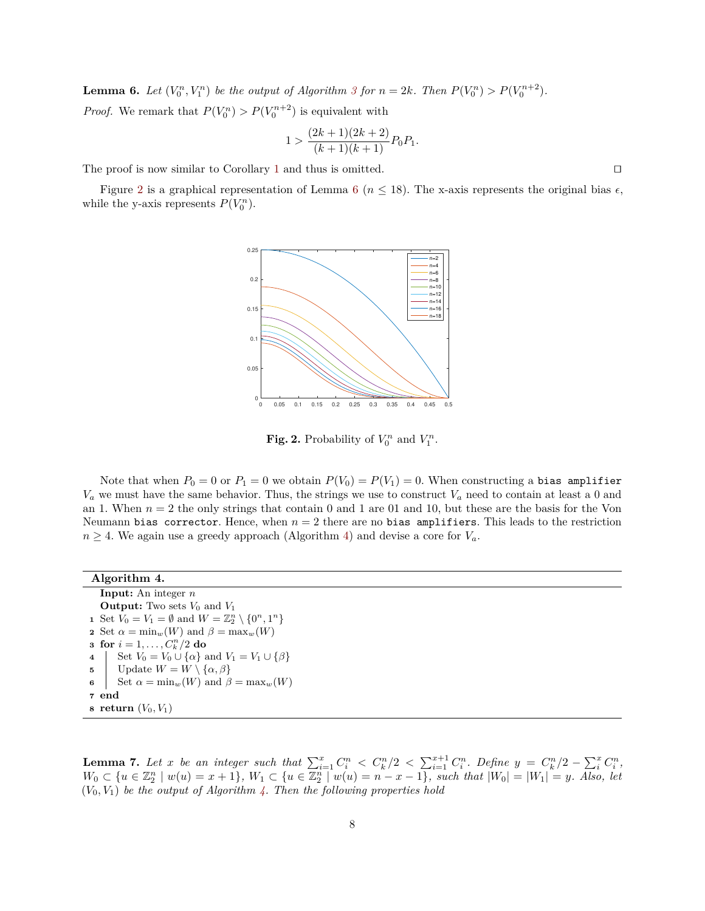**Lemma 6.** Let  $(V_0^n, V_1^n)$  be the output of Algorithm [3](#page-6-3) for  $n = 2k$ . Then  $P(V_0^n) > P(V_0^{n+2})$ . *Proof.* We remark that  $P(V_0^n) > P(V_0^{n+2})$  is equivalent with

$$
1 > \frac{(2k+1)(2k+2)}{(k+1)(k+1)}P_0P_1.
$$

The proof is now similar to Corollary [1](#page-5-2) and thus is omitted.  $\square$ 

Figure [2](#page-7-0) is a graphical representation of Lemma [6](#page-6-5) ( $n \leq 18$ ). The x-axis represents the original bias  $\epsilon$ , while the y-axis represents  $P(V_0^n)$ .



<span id="page-7-0"></span>**Fig. 2.** Probability of  $V_0^n$  and  $V_1^n$ .

Note that when  $P_0 = 0$  or  $P_1 = 0$  we obtain  $P(V_0) = P(V_1) = 0$ . When constructing a bias amplifier *V<sup>a</sup>* we must have the same behavior. Thus, the strings we use to construct *V<sup>a</sup>* need to contain at least a 0 and an 1. When *n* = 2 the only strings that contain 0 and 1 are 01 and 10, but these are the basis for the Von Neumann bias corrector. Hence, when  $n = 2$  there are no bias amplifiers. This leads to the restriction  $n \geq 4$ . We again use a greedy approach (Algorithm [4\)](#page-7-1) and devise a core for  $V_a$ .

| Algorithm 4.                                                                  |
|-------------------------------------------------------------------------------|
| <b>Input:</b> An integer $n$                                                  |
| <b>Output:</b> Two sets $V_0$ and $V_1$                                       |
| 1 Set $V_0 = V_1 = \emptyset$ and $W = \mathbb{Z}_2^n \setminus \{0^n, 1^n\}$ |
| 2 Set $\alpha = \min_w(W)$ and $\beta = \max_w(W)$                            |
| <b>3</b> for $i = 1, , C_k^n/2$ do                                            |
| Set $V_0 = V_0 \cup {\alpha}$ and $V_1 = V_1 \cup {\beta}$<br>$\overline{4}$  |
| Update $W = W \setminus {\alpha, \beta}$<br>5 <sup>5</sup>                    |
| Set $\alpha = \min_w(W)$ and $\beta = \max_w(W)$<br>6                         |
| 7 end                                                                         |
| s return $(V_0, V_1)$                                                         |

<span id="page-7-2"></span><span id="page-7-1"></span>**Lemma 7.** Let x be an integer such that  $\sum_{i=1}^{x} C_i^n < C_k^n/2 < \sum_{i=1}^{x+1} C_i^n$ . Define  $y = C_k^n/2 - \sum_{i=1}^{x} C_i^n$ ,  $W_0 \subset \{u \in \mathbb{Z}_2^n \mid w(u) = x + 1\}, W_1 \subset \{u \in \overline{\mathbb{Z}_2^n} \mid w(u) = n - x - 1\}, \text{ such that } |W_0| = |W_1| = y. \text{ Also, let }$  $(V_0, V_1)$  *be the output of Algorithm [4.](#page-7-1) Then the following properties hold*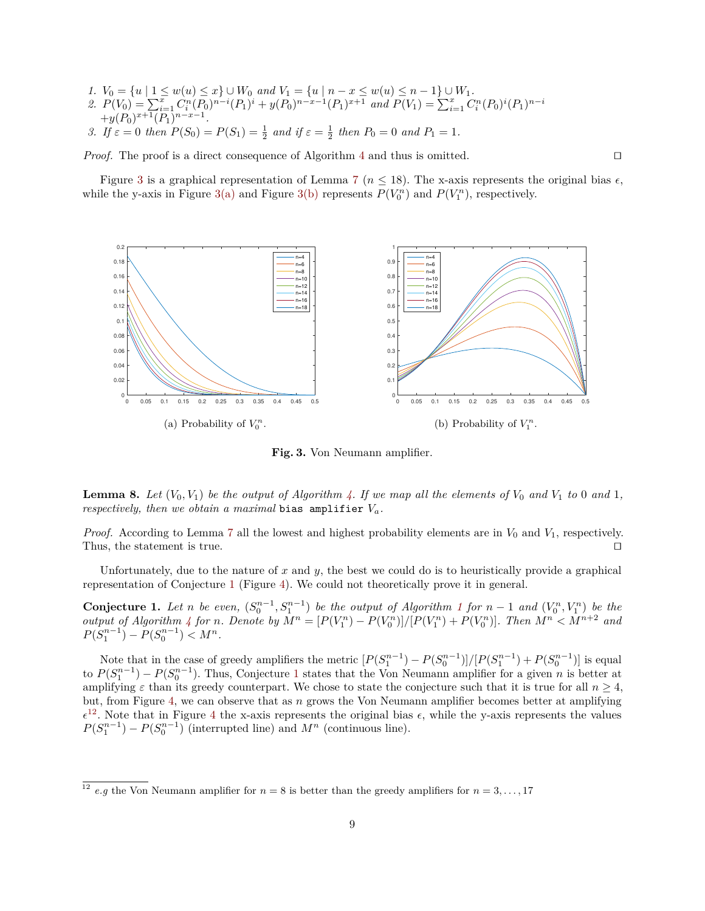*1.*  $V_0 = \{u \mid 1 \le w(u) \le x\}$  ∪  $W_0$  *and*  $V_1 = \{u \mid n - x \le w(u) \le n - 1\}$  ∪  $W_1$ . 2.  $P(V_0) = \sum_{i=1}^{\overline{x}} C_i^n (P_0)^{n-i} (P_1)^i + y(P_0)^{n-x-1} (P_1)^{x+1}$  and  $P(V_1) = \sum_{i=1}^{\overline{x}} C_i^n (P_0)^i (P_1)^{n-i}$  $+y(P_0)^{x+\overline{1}(P_1)}$ <sup>n−*x*−1</sup>.

*3. If*  $\varepsilon = 0$  *then*  $P(S_0) = P(S_1) = \frac{1}{2}$  *and if*  $\varepsilon = \frac{1}{2}$  *then*  $P_0 = 0$  *and*  $P_1 = 1$ *.* 

*Proof.* The proof is a direct consequence of Algorithm [4](#page-7-1) and thus is omitted.  $\square$ 

Figure [3](#page-8-0) is a graphical representation of Lemma [7](#page-7-2) ( $n \leq 18$ ). The x-axis represents the original bias  $\epsilon$ , while the y-axis in Figure [3\(a\)](#page-8-1) and Figure [3\(b\)](#page-8-2) represents  $P(V_0^n)$  and  $P(V_1^n)$ , respectively.

<span id="page-8-1"></span>![](_page_8_Figure_4.jpeg)

<span id="page-8-2"></span><span id="page-8-0"></span>**Fig. 3.** Von Neumann amplifier.

**Lemma 8.** Let  $(V_0, V_1)$  be the output of Algorithm [4.](#page-7-1) If we map all the elements of  $V_0$  and  $V_1$  to 0 and 1, *respectively, then we obtain a maximal* bias amplifier  $V_a$ .

*Proof.* According to Lemma [7](#page-7-2) all the lowest and highest probability elements are in  $V_0$  and  $V_1$ , respectively. Thus, the statement is true.

Unfortunately, due to the nature of *x* and *y*, the best we could do is to heuristically provide a graphical representation of Conjecture [1](#page-8-3) (Figure [4\)](#page-9-2). We could not theoretically prove it in general.

<span id="page-8-3"></span>**Conjecture [1](#page-2-0).** Let n be even,  $(S_0^{n-1}, S_1^{n-1})$  be the output of Algorithm 1 for  $n-1$  and  $(V_0^n, V_1^n)$  be the output of Algorithm [4](#page-7-1) for n. Denote by  $M^n = [P(V_1^n) - P(V_0^n)]/[P(V_1^n) + P(V_0^n)]$ . Then  $M^n < M^{n+2}$  and  $P(S_1^{n-1}) - P(S_0^{n-1}) < M^n$ .

Note that in the case of greedy amplifiers the metric  $[P(S_1^{n-1}) - P(S_0^{n-1})]/[P(S_1^{n-1}) + P(S_0^{n-1})]$  is equal to  $P(S_1^{n-1}) - P(S_0^{n-1})$  $P(S_1^{n-1}) - P(S_0^{n-1})$  $P(S_1^{n-1}) - P(S_0^{n-1})$ . Thus, Conjecture 1 states that the Von Neumann amplifier for a given *n* is better at amplifying  $\varepsilon$  than its greedy counterpart. We chose to state the conjecture such that it is true for all  $n \geq 4$ , but, from Figure [4,](#page-9-2) we can observe that as *n* grows the Von Neumann amplifier becomes better at amplifying  $\epsilon^{12}$  $\epsilon^{12}$  $\epsilon^{12}$ . Note that in Figure [4](#page-9-2) the x-axis represents the original bias  $\epsilon$ , while the y-axis represents the values  $P(S_1^{n-1}) - P(S_0^{n-1})$  (interrupted line) and  $M^n$  (continuous line).

<span id="page-8-4"></span> $\frac{12}{12}$  *e.g* the Von Neumann amplifier for  $n = 8$  is better than the greedy amplifiers for  $n = 3, \ldots, 17$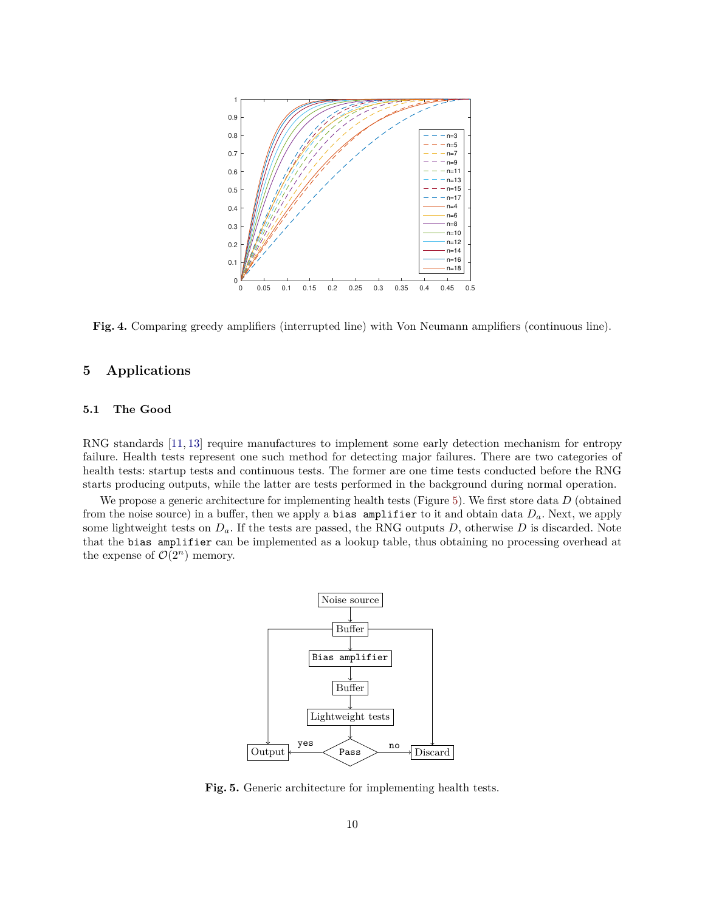<span id="page-9-2"></span>![](_page_9_Figure_0.jpeg)

**Fig. 4.** Comparing greedy amplifiers (interrupted line) with Von Neumann amplifiers (continuous line).

# <span id="page-9-1"></span>**5 Applications**

#### <span id="page-9-0"></span>**5.1 The Good**

RNG standards [\[11,](#page-14-1) [13\]](#page-14-2) require manufactures to implement some early detection mechanism for entropy failure. Health tests represent one such method for detecting major failures. There are two categories of health tests: startup tests and continuous tests. The former are one time tests conducted before the RNG starts producing outputs, while the latter are tests performed in the background during normal operation.

We propose a generic architecture for implementing health tests (Figure [5\)](#page-9-3). We first store data *D* (obtained from the noise source) in a buffer, then we apply a bias amplifier to it and obtain data *Da*. Next, we apply some lightweight tests on *Da*. If the tests are passed, the RNG outputs *D*, otherwise *D* is discarded. Note that the bias amplifier can be implemented as a lookup table, thus obtaining no processing overhead at the expense of  $\mathcal{O}(2^n)$  memory.

![](_page_9_Figure_6.jpeg)

<span id="page-9-3"></span>**Fig. 5.** Generic architecture for implementing health tests.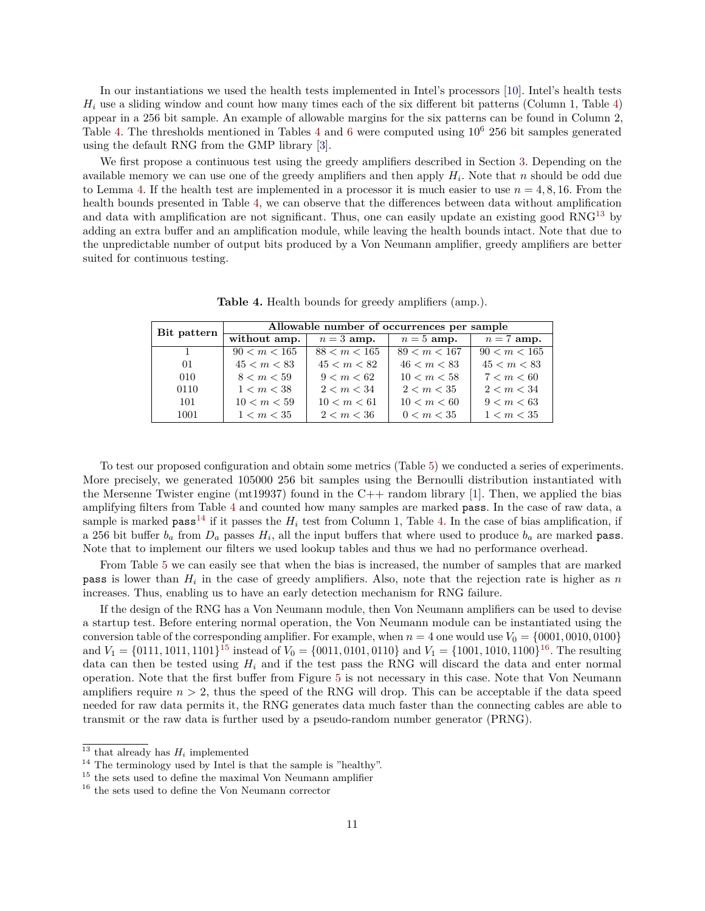In our instantiations we used the health tests implemented in Intel's processors [\[10\]](#page-14-8). Intel's health tests *H<sup>i</sup>* use a sliding window and count how many times each of the six different bit patterns (Column 1, Table [4\)](#page-10-0) appear in a 256 bit sample. An example of allowable margins for the six patterns can be found in Column 2, Table [4.](#page-10-0) The thresholds mentioned in Tables [4](#page-10-0) and [6](#page-11-0) were computed using  $10^6$  256 bit samples generated using the default RNG from the GMP library [\[3\]](#page-14-10).

We first propose a continuous test using the greedy amplifiers described in Section [3.](#page-1-1) Depending on the available memory we can use one of the greedy amplifiers and then apply *H<sup>i</sup>* . Note that *n* should be odd due to Lemma [4.](#page-3-4) If the health test are implemented in a processor it is much easier to use  $n = 4, 8, 16$ . From the health bounds presented in Table [4,](#page-10-0) we can observe that the differences between data without amplification and data with amplification are not significant. Thus, one can easily update an existing good  $RNG^{13}$  $RNG^{13}$  $RNG^{13}$  by adding an extra buffer and an amplification module, while leaving the health bounds intact. Note that due to the unpredictable number of output bits produced by a Von Neumann amplifier, greedy amplifiers are better suited for continuous testing.

<span id="page-10-0"></span>

| Bit pattern    | Allowable number of occurrences per sample |              |              |              |  |  |
|----------------|--------------------------------------------|--------------|--------------|--------------|--|--|
|                | without amp.                               | $n=3$ amp.   | $n=5$ amp.   | $n = 7$ amp. |  |  |
| $\overline{1}$ | 90 < m < 165                               | 88 < m < 165 | 89 < m < 167 | 90 < m < 165 |  |  |
| 01             | 45 < m < 83                                | 45 < m < 82  | 46 < m < 83  | 45 < m < 83  |  |  |
| 010            | 8 < m < 59                                 | 9 < m < 62   | 10 < m < 58  | 7 < m < 60   |  |  |
| 0110           | 1 < m < 38                                 | 2 < m < 34   | 2 < m < 35   | 2 < m < 34   |  |  |
| 101            | 10 < m < 59                                | 10 < m < 61  | 10 < m < 60  | 9 < m < 63   |  |  |
| 1001           | 1 < m < 35                                 | 2 < m < 36   | 0 < m < 35   | 1 < m < 35   |  |  |

**Table 4.** Health bounds for greedy amplifiers (amp.).

To test our proposed configuration and obtain some metrics (Table [5\)](#page-11-1) we conducted a series of experiments. More precisely, we generated 105000 256 bit samples using the Bernoulli distribution instantiated with the Mersenne Twister engine (mt19937) found in the C++ random library [\[1\]](#page-14-11). Then, we applied the bias amplifying filters from Table [4](#page-10-0) and counted how many samples are marked pass. In the case of raw data, a sample is marked pass<sup>[14](#page-10-2)</sup> if it passes the  $H_i$  test from Column 1, Table [4.](#page-10-0) In the case of bias amplification, if a 256 bit buffer  $b_a$  from  $D_a$  passes  $H_i$ , all the input buffers that where used to produce  $b_a$  are marked pass. Note that to implement our filters we used lookup tables and thus we had no performance overhead.

From Table [5](#page-11-1) we can easily see that when the bias is increased, the number of samples that are marked pass is lower than *H<sup>i</sup>* in the case of greedy amplifiers. Also, note that the rejection rate is higher as *n* increases. Thus, enabling us to have an early detection mechanism for RNG failure.

If the design of the RNG has a Von Neumann module, then Von Neumann amplifiers can be used to devise a startup test. Before entering normal operation, the Von Neumann module can be instantiated using the conversion table of the corresponding amplifier. For example, when  $n = 4$  one would use  $V_0 = \{0001, 0010, 0100\}$ and  $V_1 = \{0111, 1011, 1101\}^{15}$  $V_1 = \{0111, 1011, 1101\}^{15}$  $V_1 = \{0111, 1011, 1101\}^{15}$  instead of  $V_0 = \{0011, 0101, 0110\}$  and  $V_1 = \{1001, 1010, 1100\}^{16}$  $V_1 = \{1001, 1010, 1100\}^{16}$  $V_1 = \{1001, 1010, 1100\}^{16}$ . The resulting data can then be tested using  $H_i$  and if the test pass the RNG will discard the data and enter normal operation. Note that the first buffer from Figure [5](#page-9-3) is not necessary in this case. Note that Von Neumann amplifiers require  $n > 2$ , thus the speed of the RNG will drop. This can be acceptable if the data speed needed for raw data permits it, the RNG generates data much faster than the connecting cables are able to transmit or the raw data is further used by a pseudo-random number generator (PRNG).

<span id="page-10-1"></span><sup>&</sup>lt;sup>13</sup> that already has  $H_i$  implemented

<span id="page-10-2"></span><sup>&</sup>lt;sup>14</sup> The terminology used by Intel is that the sample is "healthy".

<span id="page-10-3"></span> $15$  the sets used to define the maximal Von Neumann amplifier

<span id="page-10-4"></span> $^{16}$  the sets used to define the Von Neumann corrector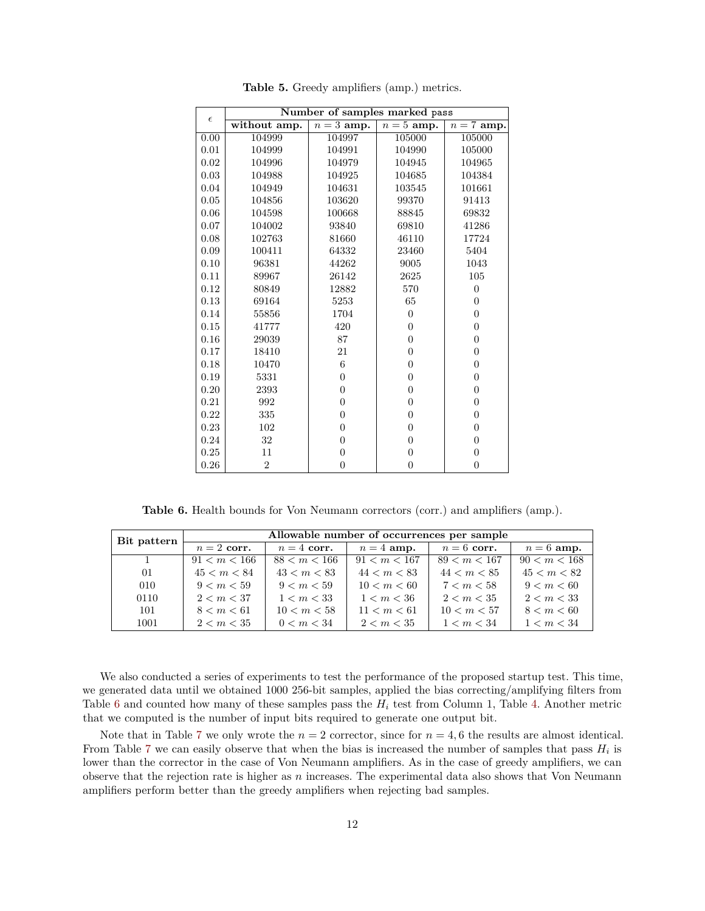<span id="page-11-1"></span>

|            | Number of samples marked pass |                |                |                         |  |  |  |
|------------|-------------------------------|----------------|----------------|-------------------------|--|--|--|
| $\epsilon$ | without amp.                  | $n=3$ amp.     | $n = 5$ amp.   | $\overline{n} = 7$ amp. |  |  |  |
| 0.00       | 104999                        | 104997         | 105000         | 105000                  |  |  |  |
| 0.01       | 104999                        | 104991         | 104990         | 105000                  |  |  |  |
| 0.02       | 104996                        | 104979         | 104945         | 104965                  |  |  |  |
| 0.03       | 104988                        | 104925         | 104685         | 104384                  |  |  |  |
| 0.04       | 104949                        | 104631         | 103545         | 101661                  |  |  |  |
| 0.05       | 104856                        | 103620         | 99370          | 91413                   |  |  |  |
| 0.06       | 104598                        | 100668         | 88845          | 69832                   |  |  |  |
| 0.07       | 104002                        | 93840          | 69810          | 41286                   |  |  |  |
| 0.08       | 102763                        | 81660          | 46110          | 17724                   |  |  |  |
| 0.09       | 100411                        | 64332          | 23460          | 5404                    |  |  |  |
| 0.10       | 96381                         | 44262          | 9005           | 1043                    |  |  |  |
| 0.11       | 89967                         | 26142          | 2625           | 105                     |  |  |  |
| 0.12       | 80849                         | 12882          | 570            | $\overline{0}$          |  |  |  |
| 0.13       | 69164                         | 5253           | 65             | $\overline{0}$          |  |  |  |
| 0.14       | 55856                         | 1704           | $\overline{0}$ | $\overline{0}$          |  |  |  |
| 0.15       | 41777                         | 420            | $\overline{0}$ | $\overline{0}$          |  |  |  |
| 0.16       | 29039                         | 87             | $\overline{0}$ | $\overline{0}$          |  |  |  |
| 0.17       | 18410                         | 21             | $\overline{0}$ | $\overline{0}$          |  |  |  |
| 0.18       | 10470                         | 6              | $\overline{0}$ | $\overline{0}$          |  |  |  |
| 0.19       | 5331                          | $\overline{0}$ | $\overline{0}$ | $\overline{0}$          |  |  |  |
| 0.20       | 2393                          | $\theta$       | $\overline{0}$ | $\overline{0}$          |  |  |  |
| 0.21       | 992                           | $\overline{0}$ | $\overline{0}$ | $\overline{0}$          |  |  |  |
| 0.22       | 335                           | $\overline{0}$ | $\overline{0}$ | $\overline{0}$          |  |  |  |
| 0.23       | 102                           | $\theta$       | $\overline{0}$ | $\overline{0}$          |  |  |  |
| 0.24       | 32                            | $\theta$       | $\overline{0}$ | $\theta$                |  |  |  |
| 0.25       | 11                            | $\overline{0}$ | $\overline{0}$ | $\overline{0}$          |  |  |  |
| 0.26       | $\overline{2}$                | $\overline{0}$ | $\overline{0}$ | $\overline{0}$          |  |  |  |

**Table 5.** Greedy amplifiers (amp.) metrics.

**Table 6.** Health bounds for Von Neumann correctors (corr.) and amplifiers (amp.).

<span id="page-11-0"></span>

| Bit pattern  | Allowable number of occurrences per sample |              |              |              |              |  |  |
|--------------|--------------------------------------------|--------------|--------------|--------------|--------------|--|--|
|              | $n=2$ corr.                                | $n=4$ corr.  | $n=4$ amp.   | $n=6$ corr.  | $n=6$ amp.   |  |  |
| $\mathbf{1}$ | 91 < m < 166                               | 88 < m < 166 | 91 < m < 167 | 89 < m < 167 | 90 < m < 168 |  |  |
| 01           | 45 < m < 84                                | 43 < m < 83  | 44 < m < 83  | 44 < m < 85  | 45 < m < 82  |  |  |
| 010          | 9 < m < 59                                 | 9 < m < 59   | 10 < m < 60  | 7 < m < 58   | 9 < m < 60   |  |  |
| 0110         | 2 < m < 37                                 | 1 < m < 33   | 1 < m < 36   | 2 < m < 35   | 2 < m < 33   |  |  |
| 101          | 8 < m < 61                                 | 10 < m < 58  | 11 < m < 61  | 10 < m < 57  | 8 < m < 60   |  |  |
| 1001         | 2 < m < 35                                 | 0 < m < 34   | 2 < m < 35   | 1 < m < 34   | 1 < m < 34   |  |  |

We also conducted a series of experiments to test the performance of the proposed startup test. This time, we generated data until we obtained 1000 256-bit samples, applied the bias correcting/amplifying filters from Table [6](#page-11-0) and counted how many of these samples pass the *H<sup>i</sup>* test from Column 1, Table [4.](#page-10-0) Another metric that we computed is the number of input bits required to generate one output bit.

Note that in Table [7](#page-12-0) we only wrote the  $n = 2$  corrector, since for  $n = 4, 6$  the results are almost identical. From Table [7](#page-12-0) we can easily observe that when the bias is increased the number of samples that pass  $H_i$  is lower than the corrector in the case of Von Neumann amplifiers. As in the case of greedy amplifiers, we can observe that the rejection rate is higher as *n* increases. The experimental data also shows that Von Neumann amplifiers perform better than the greedy amplifiers when rejecting bad samples.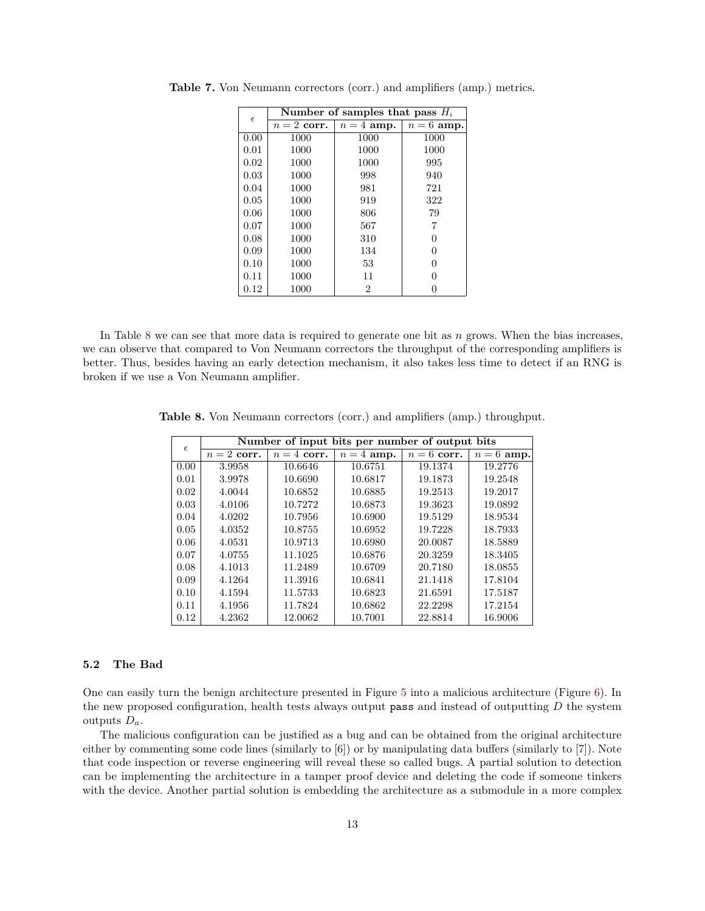| $\epsilon$ | Number of samples that pass $H_i$ |                |              |  |  |  |
|------------|-----------------------------------|----------------|--------------|--|--|--|
|            | $n=2$ corr.                       | $n = 4$ amp.   | $n = 6$ amp. |  |  |  |
| 0.00       | 1000                              | 1000           | 1000         |  |  |  |
| 0.01       | 1000                              | 1000           | 1000         |  |  |  |
| 0.02       | 1000                              | 1000           | 995          |  |  |  |
| 0.03       | 1000                              | 998            | 940          |  |  |  |
| 0.04       | 1000                              | 981            | 721          |  |  |  |
| 0.05       | 1000                              | 919            | 322          |  |  |  |
| 0.06       | 1000                              | 806            | 79           |  |  |  |
| 0.07       | 1000                              | 567            | 7            |  |  |  |
| 0.08       | 1000                              | 310            | 0            |  |  |  |
| 0.09       | 1000                              | 134            | 0            |  |  |  |
| 0.10       | 1000                              | 53             | 0            |  |  |  |
| 0.11       | 1000                              | 11             | $\Omega$     |  |  |  |
| 0.12       | 1000                              | $\overline{2}$ |              |  |  |  |

<span id="page-12-0"></span>**Table 7.** Von Neumann correctors (corr.) and amplifiers (amp.) metrics.

In Table [8](#page-12-1) we can see that more data is required to generate one bit as *n* grows. When the bias increases, we can observe that compared to Von Neumann correctors the throughput of the corresponding amplifiers is better. Thus, besides having an early detection mechanism, it also takes less time to detect if an RNG is broken if we use a Von Neumann amplifier.

<span id="page-12-1"></span>**Table 8.** Von Neumann correctors (corr.) and amplifiers (amp.) throughput.

| $\epsilon$ | Number of input bits per number of output bits |             |            |             |                         |  |  |  |
|------------|------------------------------------------------|-------------|------------|-------------|-------------------------|--|--|--|
|            | $n=2$ corr.                                    | $n=4$ corr. | $n=4$ amp. | $n=6$ corr. | $\overline{n} = 6$ amp. |  |  |  |
| 0.00       | 3.9958                                         | 10.6646     | 10.6751    | 19.1374     | 19.2776                 |  |  |  |
| 0.01       | 3.9978                                         | 10.6690     | 10.6817    | 19.1873     | 19.2548                 |  |  |  |
| 0.02       | 4.0044                                         | 10.6852     | 10.6885    | 19.2513     | 19.2017                 |  |  |  |
| 0.03       | 4.0106                                         | 10.7272     | 10.6873    | 19.3623     | 19.0892                 |  |  |  |
| 0.04       | 4.0202                                         | 10.7956     | 10.6900    | 19.5129     | 18.9534                 |  |  |  |
| 0.05       | 4.0352                                         | 10.8755     | 10.6952    | 19.7228     | 18.7933                 |  |  |  |
| 0.06       | 4.0531                                         | 10.9713     | 10.6980    | 20.0087     | 18.5889                 |  |  |  |
| 0.07       | 4.0755                                         | 11.1025     | 10.6876    | 20.3259     | 18.3405                 |  |  |  |
| 0.08       | 4.1013                                         | 11.2489     | 10.6709    | 20.7180     | 18.0855                 |  |  |  |
| 0.09       | 4.1264                                         | 11.3916     | 10.6841    | 21.1418     | 17.8104                 |  |  |  |
| 0.10       | 4.1594                                         | 11.5733     | 10.6823    | 21.6591     | 17.5187                 |  |  |  |
| 0.11       | 4.1956                                         | 11.7824     | 10.6862    | 22.2298     | 17.2154                 |  |  |  |
| 0.12       | 4.2362                                         | 12.0062     | 10.7001    | 22.8814     | 16.9006                 |  |  |  |

#### **5.2 The Bad**

One can easily turn the benign architecture presented in Figure [5](#page-9-3) into a malicious architecture (Figure [6\)](#page-13-1). In the new proposed configuration, health tests always output pass and instead of outputting *D* the system outputs *Da*.

The malicious configuration can be justified as a bug and can be obtained from the original architecture either by commenting some code lines (similarly to [\[6\]](#page-14-4)) or by manipulating data buffers (similarly to [\[7\]](#page-14-5)). Note that code inspection or reverse engineering will reveal these so called bugs. A partial solution to detection can be implementing the architecture in a tamper proof device and deleting the code if someone tinkers with the device. Another partial solution is embedding the architecture as a submodule in a more complex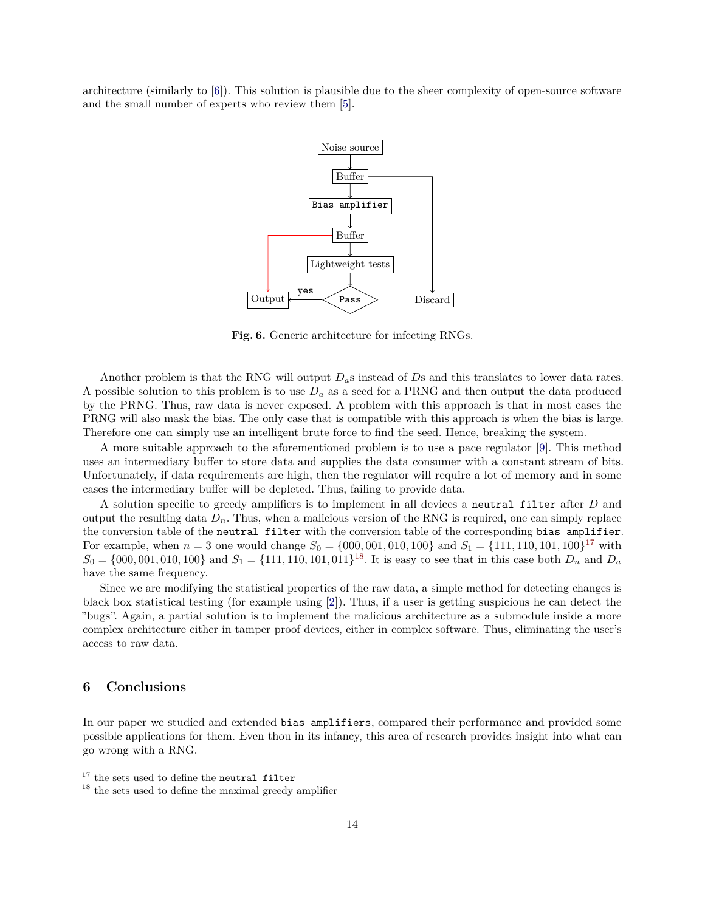architecture (similarly to [\[6\]](#page-14-4)). This solution is plausible due to the sheer complexity of open-source software and the small number of experts who review them [\[5\]](#page-14-12).

![](_page_13_Figure_1.jpeg)

<span id="page-13-1"></span>**Fig. 6.** Generic architecture for infecting RNGs.

Another problem is that the RNG will output *Da*s instead of *D*s and this translates to lower data rates. A possible solution to this problem is to use *D<sup>a</sup>* as a seed for a PRNG and then output the data produced by the PRNG. Thus, raw data is never exposed. A problem with this approach is that in most cases the PRNG will also mask the bias. The only case that is compatible with this approach is when the bias is large. Therefore one can simply use an intelligent brute force to find the seed. Hence, breaking the system.

A more suitable approach to the aforementioned problem is to use a pace regulator [\[9\]](#page-14-13). This method uses an intermediary buffer to store data and supplies the data consumer with a constant stream of bits. Unfortunately, if data requirements are high, then the regulator will require a lot of memory and in some cases the intermediary buffer will be depleted. Thus, failing to provide data.

A solution specific to greedy amplifiers is to implement in all devices a neutral filter after *D* and output the resulting data  $D_n$ . Thus, when a malicious version of the RNG is required, one can simply replace the conversion table of the neutral filter with the conversion table of the corresponding bias amplifier. For example, when  $n = 3$  one would change  $S_0 = \{000, 001, 010, 100\}$  and  $S_1 = \{111, 110, 101, 100\}^{17}$  $S_1 = \{111, 110, 101, 100\}^{17}$  $S_1 = \{111, 110, 101, 100\}^{17}$  with  $S_0 = \{000, 001, 010, 100\}$  and  $S_1 = \{111, 110, 101, 011\}^{18}$  $S_1 = \{111, 110, 101, 011\}^{18}$  $S_1 = \{111, 110, 101, 011\}^{18}$ . It is easy to see that in this case both  $D_n$  and  $D_a$ have the same frequency.

Since we are modifying the statistical properties of the raw data, a simple method for detecting changes is black box statistical testing (for example using [\[2\]](#page-14-14)). Thus, if a user is getting suspicious he can detect the "bugs". Again, a partial solution is to implement the malicious architecture as a submodule inside a more complex architecture either in tamper proof devices, either in complex software. Thus, eliminating the user's access to raw data.

# <span id="page-13-0"></span>**6 Conclusions**

In our paper we studied and extended bias amplifiers, compared their performance and provided some possible applications for them. Even thou in its infancy, this area of research provides insight into what can go wrong with a RNG.

<span id="page-13-2"></span> $^{17}$  the sets used to define the neutral filter  $\,$ 

<span id="page-13-3"></span> $^{18}$  the sets used to define the maximal greedy amplifier